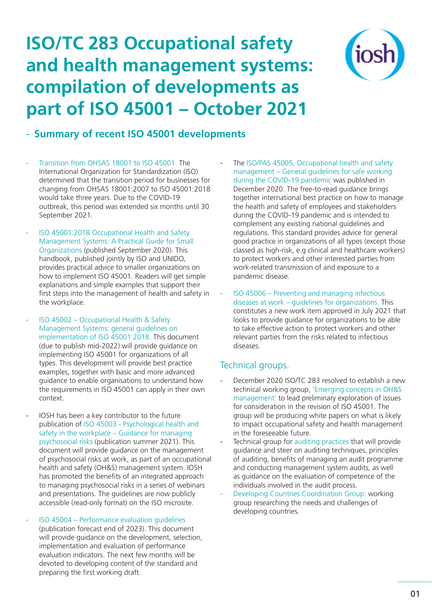## **ISO/TC 283 Occupational safety and health management systems: compilation of developments as part of ISO 45001 – October 2021**



## - **Summary of recent ISO 45001 developments**

- Transition from OHSAS 18001 to ISO 45001. The International Organization for Standardization (ISO) determined that the transition period for businesses for changing from OHSAS 18001:2007 to ISO 45001:2018 would take three years. Due to the COVID-19 outbreak, this period was extended six months until 30 September 2021.
- ISO 45001:2018 Occupational Health and Safety Management Systems: A Practical Guide for Small Organizations (published September 2020). This handbook, published jointly by ISO and UNIDO, provides practical advice to smaller organizations on how to implement ISO 45001. Readers will get simple explanations and simple examples that support their first steps into the management of health and safety in the workplace.
- ISO 45002 Occupational Health & Safety Management Systems: general guidelines on implementation of ISO 45001:2018. This document (due to publish mid-2022) will provide guidance on implementing ISO 45001 for organizations of all types. This development will provide best practice examples, together with basic and more advanced guidance to enable organisations to understand how the requirements in ISO 45001 can apply in their own context.
- IOSH has been a key contributor to the future publication of ISO 45003 - Psychological health and safety in the workplace – Guidance for managing psychosocial risks (publication summer 2021). This document will provide guidance on the management of psychosocial risks at work, as part of an occupational health and safety (OH&S) management system. IOSH has promoted the benefits of an integrated approach to managing psychosocial risks in a series of webinars and presentations. The guidelines are now publicly accessible (read-only format) on the ISO microsite.
- ISO 45004 Performance evaluation guidelines (publication forecast end of 2023). This document will provide quidance on the development, selection, implementation and evaluation of performance evaluation indicators. The next few months will be devoted to developing content of the standard and preparing the first working draft.
- The ISO/PAS 45005, Occupational health and safety management – General guidelines for safe working during the COVID-19 pandemic was published in December 2020. The free-to-read guidance brings together international best practice on how to manage the health and safety of employees and stakeholders during the COVID-19 pandemic and is intended to complement any existing national guidelines and regulations. This standard provides advice for general good practice in organizations of all types (except those classed as high-risk, e.g clinical and healthcare workers) to protect workers and other interested parties from work-related transmission of and exposure to a pandemic disease.
- ISO 45006 Preventing and managing infectious diseases at work – guidelines for organizations. This constitutes a new work item approved in July 2021 that looks to provide guidance for organizations to be able to take effective action to protect workers and other relevant parties from the risks related to infectious diseases.

## Technical groups.

- December 2020 ISO/TC 283 resolved to establish a new technical working group, 'Emerging concepts in OH&S management' to lead preliminary exploration of issues for consideration in the revision of ISO 45001. The group will be producing white papers on what is likely to impact occupational safety and health management in the foreseeable future.
- Technical group for auditing practices that will provide guidance and steer on auditing techniques, principles of auditing, benefits of managing an audit programme and conducting management system audits, as well as guidance on the evaluation of competence of the individuals involved in the audit process.
- Developing Countries Coordination Group: working group researching the needs and challenges of developing countries.